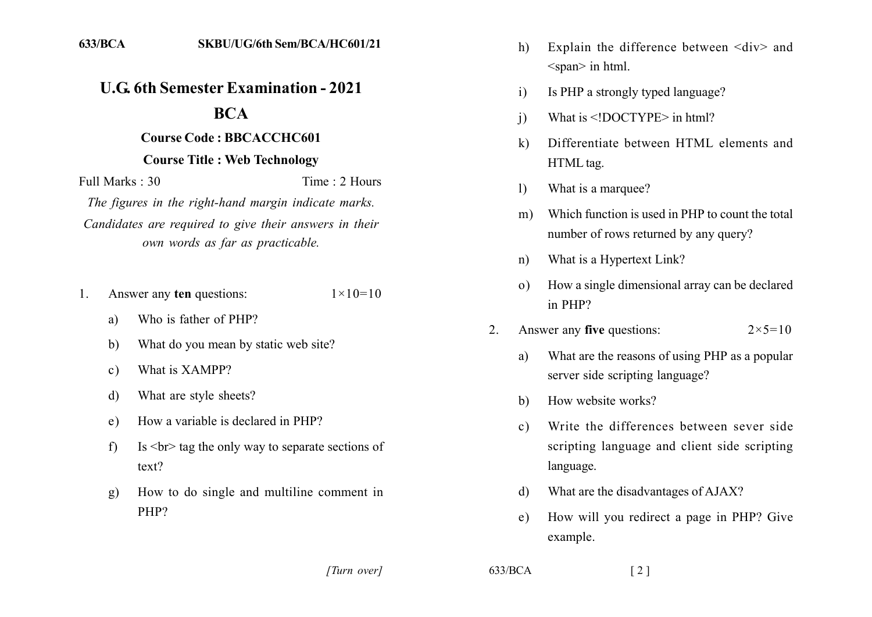## **U.G. 6th Semester Examination - 2021**

## **BCA**

## **Course Code: BBCACCHC601 Course Title: Web Technology**

Time  $\cdot$  2 Hours Full Marks  $\cdot$  30

The figures in the right-hand margin indicate marks. Candidates are required to give their answers in their own words as far as practicable.

- Answer any ten questions:  $1 \times 10 = 10$  $1_{-}$ 
	- Who is father of PHP? a)
	- $b)$ What do you mean by static web site?
	- What is XAMPP?  $c)$
	- What are style sheets?  $\mathbf{d}$
	- How a variable is declared in PHP?  $e)$
	- Is  $\langle$ br $>$  tag the only way to separate sections of  $f$  $text?$
	- How to do single and multiline comment in  $g)$ PHP?
- Explain the difference between <div> and  $h)$  $<$ span $>$  in html.
- Is PHP a strongly typed language?  $\mathbf{i}$
- What is  $\leq$ !DOCTYPE> in html?  $\overline{1}$
- $\mathbf{k}$ Differentiate between HTML elements and HTML tag.
- $\left| \right|$ What is a marquee?
- Which function is used in PHP to count the total  $m$ ) number of rows returned by any query?
- What is a Hypertext Link?  $n)$
- How a single dimensional array can be declared  $\Omega$ in PHP?
- Answer any five questions:  $\mathfrak{D}$  $2 \times 5 = 10$ 
	- What are the reasons of using PHP as a popular a) server side scripting language?
	- How website works?  $h$
	- Write the differences between sever side  $c$ ) scripting language and client side scripting language.
	- What are the disadvantages of AJAX? d)
	- How will you redirect a page in PHP? Give  $e)$ example.

[Turn over]

 $633/BCA$ 

 $\lceil 2 \rceil$